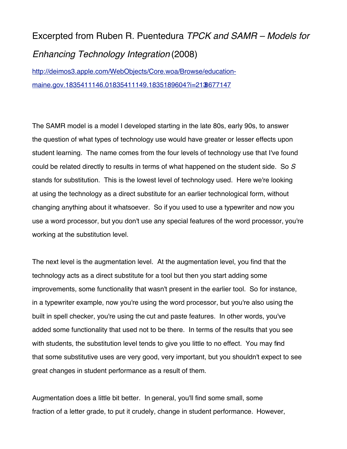## Excerpted from Ruben R. Puentedura *TPCK and SAMR – Models for Enhancing Technology Integration* (2008)

[http://deimos3.apple.com/WebObjects/Core.woa/Browse/education](http://deimos3.apple.com/WebObjects/Core.woa/Browse/education-maine.gov.1835411146.01835411149.1835189604?i=2138677147)[maine.gov.1835411146.01835411149.1835189604?i=2138677147](http://deimos3.apple.com/WebObjects/Core.woa/Browse/education-maine.gov.1835411146.01835411149.1835189604?i=2138677147)

The SAMR model is a model I developed starting in the late 80s, early 90s, to answer the question of what types of technology use would have greater or lesser effects upon student learning. The name comes from the four levels of technology use that I've found could be related directly to results in terms of what happened on the student side. So *S* stands for substitution. This is the lowest level of technology used. Here we're looking at using the technology as a direct substitute for an earlier technological form, without changing anything about it whatsoever. So if you used to use a typewriter and now you use a word processor, but you don't use any special features of the word processor, you're working at the substitution level.

The next level is the augmentation level. At the augmentation level, you find that the technology acts as a direct substitute for a tool but then you start adding some improvements, some functionality that wasn't present in the earlier tool. So for instance, in a typewriter example, now you're using the word processor, but you're also using the built in spell checker, you're using the cut and paste features. In other words, you've added some functionality that used not to be there. In terms of the results that you see with students, the substitution level tends to give you little to no effect. You may find that some substitutive uses are very good, very important, but you shouldn't expect to see great changes in student performance as a result of them.

Augmentation does a little bit better. In general, you'll find some small, some fraction of a letter grade, to put it crudely, change in student performance. However,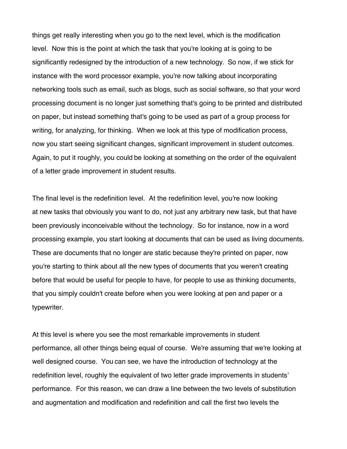things get really interesting when you go to the next level, which is the modification level. Now this is the point at which the task that you're looking at is going to be significantly redesigned by the introduction of a new technology. So now, if we stick for instance with the word processor example, you're now talking about incorporating networking tools such as email, such as blogs, such as social software, so that your word processing document is no longer just something that's going to be printed and distributed on paper, but instead something that's going to be used as part of a group process for writing, for analyzing, for thinking. When we look at this type of modification process, now you start seeing significant changes, significant improvement in student outcomes. Again, to put it roughly, you could be looking at something on the order of the equivalent of a letter grade improvement in student results.

The final level is the redefinition level. At the redefinition level, you're now looking at new tasks that obviously you want to do, not just any arbitrary new task, but that have been previously inconceivable without the technology. So for instance, now in a word processing example, you start looking at documents that can be used as living documents. These are documents that no longer are static because they're printed on paper, now you're starting to think about all the new types of documents that you weren't creating before that would be useful for people to have, for people to use as thinking documents, that you simply couldn't create before when you were looking at pen and paper or a typewriter.

At this level is where you see the most remarkable improvements in student performance, all other things being equal of course. We're assuming that we're looking at well designed course. You can see, we have the introduction of technology at the redefinition level, roughly the equivalent of two letter grade improvements in students' performance. For this reason, we can draw a line between the two levels of substitution and augmentation and modification and redefinition and call the first two levels the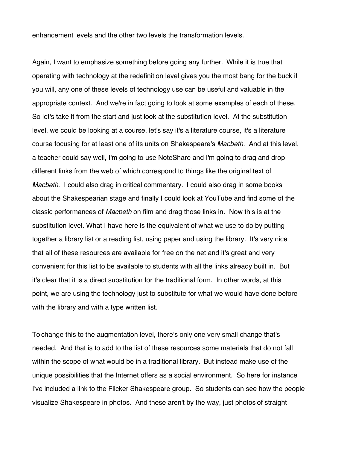enhancement levels and the other two levels the transformation levels.

Again, I want to emphasize something before going any further. While it is true that operating with technology at the redefinition level gives you the most bang for the buck if you will, any one of these levels of technology use can be useful and valuable in the appropriate context. And we're in fact going to look at some examples of each of these. So let's take it from the start and just look at the substitution level. At the substitution level, we could be looking at a course, let's say it's a literature course, it's a literature course focusing for at least one of its units on Shakespeare's *Macbeth*. And at this level, a teacher could say well, I'm going to use NoteShare and I'm going to drag and drop different links from the web of which correspond to things like the original text of *Macbeth*. I could also drag in critical commentary. I could also drag in some books about the Shakespearian stage and finally I could look at YouTube and find some of the classic performances of *Macbeth* on film and drag those links in. Now this is at the substitution level. What I have here is the equivalent of what we use to do by putting together a library list or a reading list, using paper and using the library. It's very nice that all of these resources are available for free on the net and it's great and very convenient for this list to be available to students with all the links already built in. But it's clear that it is a direct substitution for the traditional form. In other words, at this point, we are using the technology just to substitute for what we would have done before with the library and with a type written list.

To change this to the augmentation level, there's only one very small change that's needed. And that is to add to the list of these resources some materials that do not fall within the scope of what would be in a traditional library. But instead make use of the unique possibilities that the Internet offers as a social environment. So here for instance I've included a link to the Flicker Shakespeare group. So students can see how the people visualize Shakespeare in photos. And these aren't by the way, just photos of straight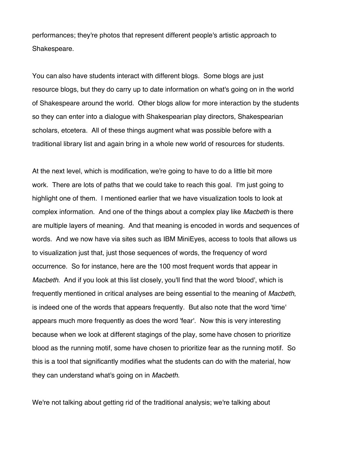performances; they're photos that represent different people's artistic approach to Shakespeare.

You can also have students interact with different blogs. Some blogs are just resource blogs, but they do carry up to date information on what's going on in the world of Shakespeare around the world. Other blogs allow for more interaction by the students so they can enter into a dialogue with Shakespearian play directors, Shakespearian scholars, etcetera. All of these things augment what was possible before with a traditional library list and again bring in a whole new world of resources for students.

At the next level, which is modification, we're going to have to do a little bit more work. There are lots of paths that we could take to reach this goal. I'm just going to highlight one of them. I mentioned earlier that we have visualization tools to look at complex information. And one of the things about a complex play like *Macbeth* is there are multiple layers of meaning. And that meaning is encoded in words and sequences of words. And we now have via sites such as IBM MiniEyes, access to tools that allows us to visualization just that, just those sequences of words, the frequency of word occurrence. So for instance, here are the 100 most frequent words that appear in *Macbeth*. And if you look at this list closely, you'll find that the word 'blood', which is frequently mentioned in critical analyses are being essential to the meaning of *Macbeth*, is indeed one of the words that appears frequently. But also note that the word 'time' appears much more frequently as does the word 'fear'. Now this is very interesting because when we look at different stagings of the play, some have chosen to prioritize blood as the running motif, some have chosen to prioritize fear as the running motif. So this is a tool that significantly modifies what the students can do with the material, how they can understand what's going on in *Macbeth*.

We're not talking about getting rid of the traditional analysis; we're talking about